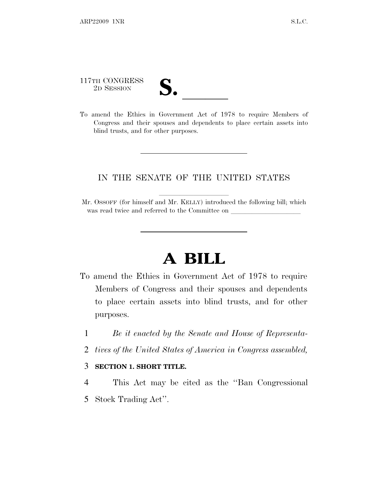117TH CONGRESS

117TH CONGRESS<br>
2D SESSION<br>
To amend the Ethics in Government Act of 1978 to require Members of Congress and their spouses and dependents to place certain assets into blind trusts, and for other purposes.

## IN THE SENATE OF THE UNITED STATES

Mr. OSSOFF (for himself and Mr. KELLY) introduced the following bill; which was read twice and referred to the Committee on

## **A BILL**

- To amend the Ethics in Government Act of 1978 to require Members of Congress and their spouses and dependents to place certain assets into blind trusts, and for other purposes.
	- 1 *Be it enacted by the Senate and House of Representa-*
	- 2 *tives of the United States of America in Congress assembled,*

## 3 **SECTION 1. SHORT TITLE.**

- 4 This Act may be cited as the ''Ban Congressional
- 5 Stock Trading Act''.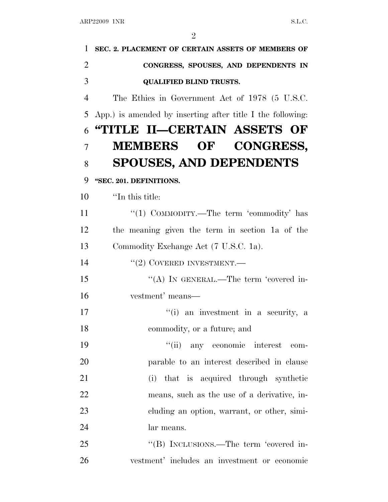| 1              | SEC. 2. PLACEMENT OF CERTAIN ASSETS OF MEMBERS OF          |
|----------------|------------------------------------------------------------|
| $\overline{2}$ | CONGRESS, SPOUSES, AND DEPENDENTS IN                       |
| 3              | <b>QUALIFIED BLIND TRUSTS.</b>                             |
| $\overline{4}$ | The Ethics in Government Act of 1978 (5 U.S.C.             |
| 5              | App.) is amended by inserting after title I the following: |
| 6              | "TITLE II—CERTAIN ASSETS OF                                |
| $\overline{7}$ | MEMBERS OF CONGRESS,                                       |
| 8              | <b>SPOUSES, AND DEPENDENTS</b>                             |
| 9              | "SEC. 201. DEFINITIONS.                                    |
| 10             | "In this title:                                            |
| 11             | "(1) COMMODITY.—The term 'commodity' has                   |
| 12             | the meaning given the term in section 1a of the            |
| 13             | Commodity Exchange Act (7 U.S.C. 1a).                      |
| 14             | $``(2)$ COVERED INVESTMENT.—                               |
| 15             | "(A) IN GENERAL.—The term 'covered in-                     |
| 16             | vestment' means—                                           |
| 17             | "(i) an investment in a security, a                        |
| 18             | commodity, or a future; and                                |
| 19             | ``(ii)<br>any economic interest com-                       |
| 20             | parable to an interest described in clause                 |
| 21             | (i) that is acquired through synthetic                     |
| 22             | means, such as the use of a derivative, in-                |
| 23             | eluding an option, warrant, or other, simi-                |
| 24             | lar means.                                                 |
| 25             | "(B) INCLUSIONS.—The term 'covered in-                     |
| 26             | vestment' includes an investment or economic               |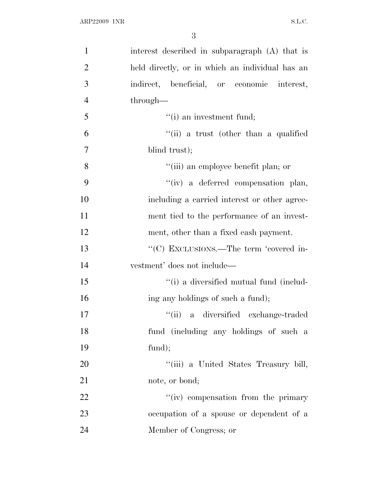| $\mathbf{1}$   | interest described in subparagraph (A) that is  |
|----------------|-------------------------------------------------|
| $\overline{2}$ | held directly, or in which an individual has an |
| 3              | indirect, beneficial, or economic interest,     |
| $\overline{4}$ | through—                                        |
| 5              | $f(i)$ an investment fund;                      |
| 6              | "(ii) a trust (other than a qualified           |
| $\overline{7}$ | blind trust);                                   |
| 8              | "(iii) an employee benefit plan; or             |
| 9              | "(iv) a deferred compensation plan,             |
| 10             | including a carried interest or other agree-    |
| 11             | ment tied to the performance of an invest-      |
| 12             | ment, other than a fixed cash payment.          |
| 13             | "(C) EXCLUSIONS.—The term 'covered in-          |
| 14             | vestment' does not include—                     |
| 15             | "(i) a diversified mutual fund (includ-         |
| 16             | ing any holdings of such a fund);               |
| 17             | a diversified exchange-traded<br>``(ii)         |
| 18             | fund (including any holdings of such a          |
| 19             | fund);                                          |
| 20             | "(iii) a United States Treasury bill,           |
| 21             | note, or bond;                                  |
| 22             | "(iv) compensation from the primary             |
| 23             | occupation of a spouse or dependent of a        |
| 24             | Member of Congress; or                          |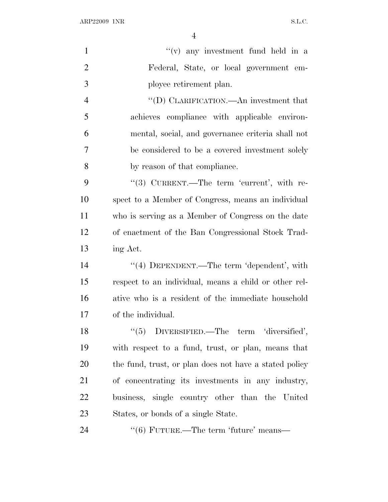$\begin{minipage}{.4\linewidth} \textbf{ARP22009} & \textbf{1NR} \end{minipage}$ 

| $\mathbf{1}$   | $f'(v)$ any investment fund held in a                  |
|----------------|--------------------------------------------------------|
| $\overline{2}$ | Federal, State, or local government em-                |
| 3              | ployee retirement plan.                                |
| $\overline{4}$ | "(D) CLARIFICATION.—An investment that                 |
| 5              | achieves compliance with applicable environ-           |
| 6              | mental, social, and governance criteria shall not      |
| 7              | be considered to be a covered investment solely        |
| 8              | by reason of that compliance.                          |
| 9              | "(3) CURRENT.—The term 'current', with re-             |
| 10             | spect to a Member of Congress, means an individual     |
| 11             | who is serving as a Member of Congress on the date     |
| 12             | of enactment of the Ban Congressional Stock Trad-      |
| 13             | ing Act.                                               |
| 14             | "(4) DEPENDENT.—The term 'dependent', with             |
| 15             | respect to an individual, means a child or other rel-  |
| 16             | ative who is a resident of the immediate household     |
| 17             | of the individual.                                     |
| 18             | $``(5)$ DIVERSIFIED.—The term 'diversified',           |
| 19             | with respect to a fund, trust, or plan, means that     |
| <b>20</b>      | the fund, trust, or plan does not have a stated policy |
| 21             | of concentrating its investments in any industry,      |
| 22             | business, single country other than the United         |
| 23             | States, or bonds of a single State.                    |
| 24             | $``(6)$ FUTURE.—The term 'future' means—               |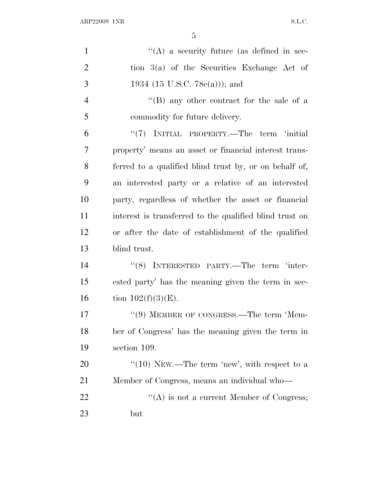$\begin{minipage}{.4\linewidth} \textbf{ARP22009} & \textbf{1NR} \end{minipage}$ 

| $\mathbf{1}$   | "(A) a security future (as defined in sec-              |
|----------------|---------------------------------------------------------|
| $\overline{2}$ | tion $3(a)$ of the Securities Exchange Act of           |
| 3              | 1934 (15 U.S.C. 78 $e(a)$ )); and                       |
| $\overline{4}$ | "(B) any other contract for the sale of a               |
| 5              | commodity for future delivery.                          |
| 6              | "(7) INITIAL PROPERTY.—The term 'initial                |
| 7              | property' means an asset or financial interest trans-   |
| 8              | ferred to a qualified blind trust by, or on behalf of,  |
| 9              | an interested party or a relative of an interested      |
| 10             | party, regardless of whether the asset or financial     |
| 11             | interest is transferred to the qualified blind trust on |
| 12             | or after the date of establishment of the qualified     |
| 13             | blind trust.                                            |
| 14             | "(8) INTERESTED PARTY.—The term 'inter-                 |
| 15             | ested party' has the meaning given the term in sec-     |
| 16             | tion $102(f)(3)(E)$ .                                   |
| 17             | "(9) MEMBER OF CONGRESS.—The term 'Mem-                 |
| 18             | ber of Congress' has the meaning given the term in      |
| 19             | section 109.                                            |
| 20             | "(10) NEW.—The term 'new', with respect to a            |
| 21             | Member of Congress, means an individual who-            |
| 22             | $\lq\lq$ is not a current Member of Congress;           |
| 23             | but                                                     |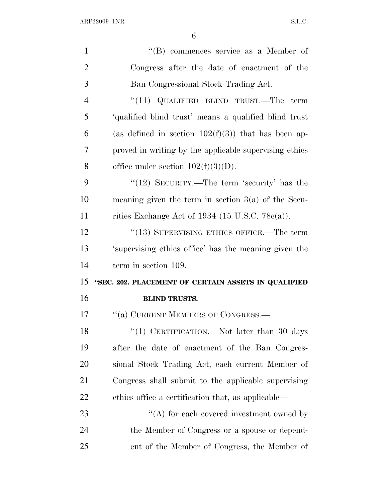| $\mathbf{1}$   | "(B) commences service as a Member of                  |
|----------------|--------------------------------------------------------|
| $\overline{2}$ | Congress after the date of enactment of the            |
| 3              | Ban Congressional Stock Trading Act.                   |
| $\overline{4}$ | " $(11)$ QUALIFIED BLIND TRUST.—The term               |
| 5              | 'qualified blind trust' means a qualified blind trust  |
| 6              | (as defined in section $102(f)(3)$ ) that has been ap- |
| 7              | proved in writing by the applicable supervising ethics |
| 8              | office under section $102(f)(3)(D)$ .                  |
| 9              | " $(12)$ SECURITY.—The term 'security' has the         |
| 10             | meaning given the term in section $3(a)$ of the Secu-  |
| 11             | rities Exchange Act of 1934 (15 U.S.C. 78 $c(a)$ ).    |
| 12             | "(13) SUPERVISING ETHICS OFFICE.—The term              |
| 13             | 'supervising ethics office' has the meaning given the  |
| 14             | term in section 109.                                   |
| 15             | "SEC. 202. PLACEMENT OF CERTAIN ASSETS IN QUALIFIED    |
| 16             | <b>BLIND TRUSTS.</b>                                   |
| 17             | "(a) CURRENT MEMBERS OF CONGRESS.-                     |
| 18             | "(1) CERTIFICATION.—Not later than 30 days             |
| 19             | after the date of enactment of the Ban Congres-        |
| 20             | sional Stock Trading Act, each current Member of       |
| 21             | Congress shall submit to the applicable supervising    |
| 22             | ethics office a certification that, as applicable—     |
| 23             | $\lq\lq$ for each covered investment owned by          |
| 24             | the Member of Congress or a spouse or depend-          |
| 25             | ent of the Member of Congress, the Member of           |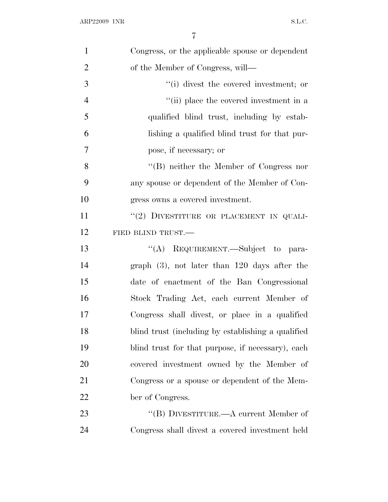| $\mathbf{1}$   | Congress, or the applicable spouse or dependent    |
|----------------|----------------------------------------------------|
| $\overline{2}$ | of the Member of Congress, will—                   |
| 3              | "(i) divest the covered investment; or             |
| $\overline{4}$ | "(ii) place the covered investment in a            |
| 5              | qualified blind trust, including by estab-         |
| 6              | lishing a qualified blind trust for that pur-      |
| 7              | pose, if necessary; or                             |
| 8              | $\lq\lq$ neither the Member of Congress nor        |
| 9              | any spouse or dependent of the Member of Con-      |
| 10             | gress owns a covered investment.                   |
| 11             | "(2) DIVESTITURE OR PLACEMENT IN QUALI-            |
| 12             | FIED BLIND TRUST.                                  |
| 13             | "(A) REQUIREMENT.—Subject to para-                 |
| 14             | graph $(3)$ , not later than 120 days after the    |
| 15             | date of enactment of the Ban Congressional         |
| 16             | Stock Trading Act, each current Member of          |
| 17             | Congress shall divest, or place in a qualified     |
| 18             | blind trust (including by establishing a qualified |
| 19             | blind trust for that purpose, if necessary), each  |
| 20             | covered investment owned by the Member of          |
| 21             | Congress or a spouse or dependent of the Mem-      |
| 22             | ber of Congress.                                   |
| 23             | "(B) DIVESTITURE.— $A$ current Member of           |
| 24             | Congress shall divest a covered investment held    |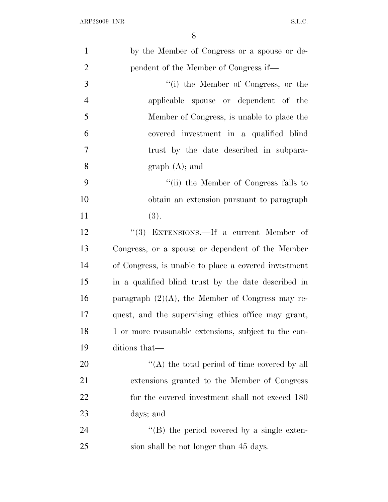| $\mathbf{1}$   | by the Member of Congress or a spouse or de-         |
|----------------|------------------------------------------------------|
| $\overline{2}$ | pendent of the Member of Congress if—                |
| 3              | "(i) the Member of Congress, or the                  |
| $\overline{4}$ | applicable spouse or dependent of the                |
| 5              | Member of Congress, is unable to place the           |
| 6              | covered investment in a qualified blind              |
| 7              | trust by the date described in subpara-              |
| 8              | graph (A); and                                       |
| 9              | "(ii) the Member of Congress fails to                |
| 10             | obtain an extension pursuant to paragraph            |
| 11             | (3).                                                 |
| 12             | "(3) EXTENSIONS.—If a current Member of              |
| 13             | Congress, or a spouse or dependent of the Member     |
| 14             | of Congress, is unable to place a covered investment |
| 15             | in a qualified blind trust by the date described in  |
| 16             | paragraph $(2)(A)$ , the Member of Congress may re-  |
| 17             | quest, and the supervising ethics office may grant,  |
| 18             | 1 or more reasonable extensions, subject to the con- |
| 19             | ditions that—                                        |
| 20             | "(A) the total period of time covered by all         |
| 21             | extensions granted to the Member of Congress         |
| 22             | for the covered investment shall not exceed 180      |
| 23             | days; and                                            |
| 24             | $\lq\lq$ (B) the period covered by a single exten-   |
| 25             | sion shall be not longer than 45 days.               |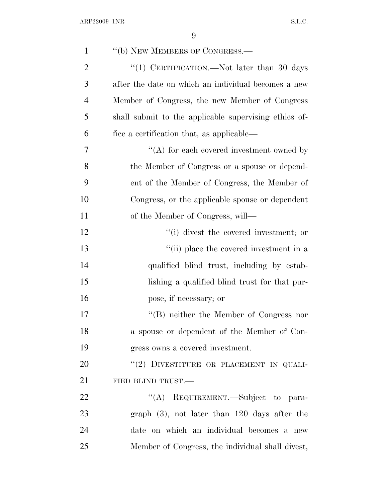| $\mathbf{1}$   | "(b) NEW MEMBERS OF CONGRESS.—                        |
|----------------|-------------------------------------------------------|
| $\overline{2}$ | "(1) CERTIFICATION.—Not later than 30 days            |
| 3              | after the date on which an individual becomes a new   |
| $\overline{4}$ | Member of Congress, the new Member of Congress        |
| 5              | shall submit to the applicable supervising ethics of- |
| 6              | fice a certification that, as applicable—             |
| $\overline{7}$ | $\lq\lq$ for each covered investment owned by         |
| 8              | the Member of Congress or a spouse or depend-         |
| 9              | ent of the Member of Congress, the Member of          |
| 10             | Congress, or the applicable spouse or dependent       |
| 11             | of the Member of Congress, will—                      |
| 12             | "(i) divest the covered investment; or                |
| 13             | "(ii) place the covered investment in a               |
| 14             | qualified blind trust, including by estab-            |
| 15             | lishing a qualified blind trust for that pur-         |
| 16             | pose, if necessary; or                                |
| 17             | $\lq\lq (B)$ neither the Member of Congress nor       |
| 18             | a spouse or dependent of the Member of Con-           |
| 19             | gress owns a covered investment.                      |
| 20             | "(2) DIVESTITURE OR PLACEMENT IN QUALI-               |
| 21             | FIED BLIND TRUST.                                     |
| 22             | "(A) REQUIREMENT.—Subject to para-                    |
| 23             | graph $(3)$ , not later than 120 days after the       |
| 24             | date on which an individual becomes a new             |
| 25             | Member of Congress, the individual shall divest,      |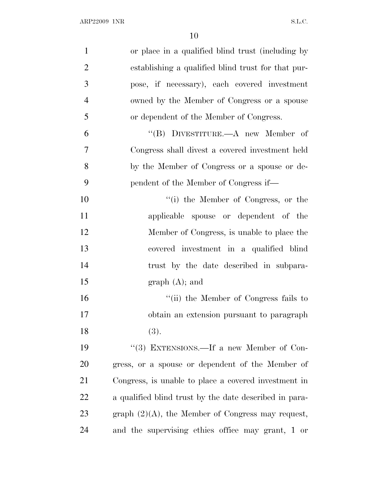| $\mathbf{1}$   | or place in a qualified blind trust (including by      |
|----------------|--------------------------------------------------------|
| $\overline{2}$ | establishing a qualified blind trust for that pur-     |
| 3              | pose, if necessary), each covered investment           |
| $\overline{4}$ | owned by the Member of Congress or a spouse            |
| 5              | or dependent of the Member of Congress.                |
| 6              | "(B) DIVESTITURE.— $A$ new Member of                   |
| 7              | Congress shall divest a covered investment held        |
| 8              | by the Member of Congress or a spouse or de-           |
| 9              | pendent of the Member of Congress if—                  |
| 10             | "(i) the Member of Congress, or the                    |
| 11             | applicable spouse or dependent of the                  |
| 12             | Member of Congress, is unable to place the             |
| 13             | covered investment in a qualified blind                |
| 14             | trust by the date described in subpara-                |
| 15             | graph (A); and                                         |
| 16             | "(ii) the Member of Congress fails to                  |
| 17             | obtain an extension pursuant to paragraph              |
| 18             | (3).                                                   |
| 19             | "(3) EXTENSIONS.—If a new Member of Con-               |
| 20             | gress, or a spouse or dependent of the Member of       |
| 21             | Congress, is unable to place a covered investment in   |
| <u>22</u>      | a qualified blind trust by the date described in para- |
| 23             | graph $(2)(A)$ , the Member of Congress may request,   |
| 24             | and the supervising ethics office may grant, 1 or      |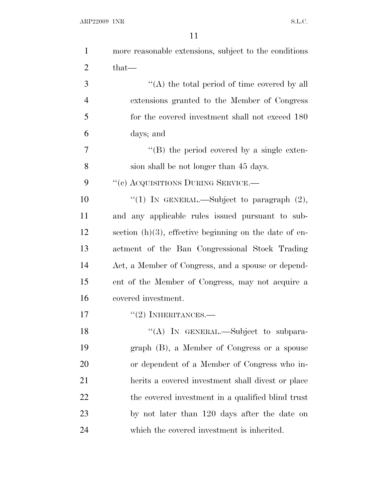| $\mathbf{1}$   | more reasonable extensions, subject to the conditions     |
|----------------|-----------------------------------------------------------|
| $\overline{2}$ | that—                                                     |
| 3              | "(A) the total period of time covered by all              |
| $\overline{4}$ | extensions granted to the Member of Congress              |
| 5              | for the covered investment shall not exceed 180           |
| 6              | days; and                                                 |
| 7              | $\lq\lq (B)$ the period covered by a single exten-        |
| 8              | sion shall be not longer than 45 days.                    |
| 9              | "(c) ACQUISITIONS DURING SERVICE.-                        |
| 10             | "(1) IN GENERAL.—Subject to paragraph $(2)$ ,             |
| 11             | and any applicable rules issued pursuant to sub-          |
| 12             | section $(h)(3)$ , effective beginning on the date of en- |
| 13             | actment of the Ban Congressional Stock Trading            |
| 14             | Act, a Member of Congress, and a spouse or depend-        |
| 15             | ent of the Member of Congress, may not acquire a          |
| 16             | covered investment.                                       |
| 17             | $``(2)$ INHERITANCES.—                                    |
| 18             | "(A) IN GENERAL.—Subject to subpara-                      |
| 19             | graph (B), a Member of Congress or a spouse               |
| 20             | or dependent of a Member of Congress who in-              |
| 21             | herits a covered investment shall divest or place         |
| 22             | the covered investment in a qualified blind trust         |
| 23             | by not later than 120 days after the date on              |
| 24             | which the covered investment is inherited.                |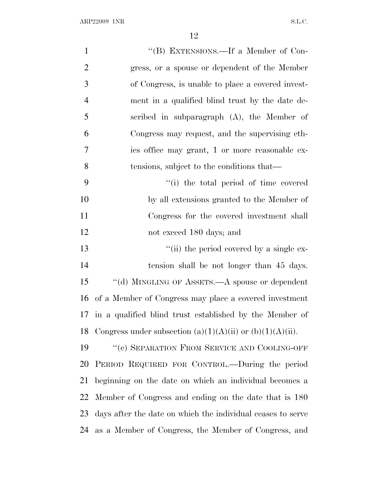| $\mathbf{1}$   | "(B) EXTENSIONS.—If a Member of Con-                        |
|----------------|-------------------------------------------------------------|
| $\overline{2}$ | gress, or a spouse or dependent of the Member               |
| 3              | of Congress, is unable to place a covered invest-           |
| $\overline{4}$ | ment in a qualified blind trust by the date de-             |
| 5              | scribed in subparagraph (A), the Member of                  |
| 6              | Congress may request, and the supervising eth-              |
| 7              | ics office may grant, 1 or more reasonable ex-              |
| 8              | tensions, subject to the conditions that—                   |
| 9              | "(i) the total period of time covered                       |
| 10             | by all extensions granted to the Member of                  |
| 11             | Congress for the covered investment shall                   |
| 12             | not exceed 180 days; and                                    |
| 13             | "(ii) the period covered by a single ex-                    |
| 14             | tension shall be not longer than 45 days.                   |
| 15             | "(d) MINGLING OF ASSETS.—A spouse or dependent              |
| 16             | of a Member of Congress may place a covered investment      |
| 17             | in a qualified blind trust established by the Member of     |
| 18             | Congress under subsection (a)(1)(A)(ii) or (b)(1)(A)(ii).   |
| 19             | "(e) SEPARATION FROM SERVICE AND COOLING-OFF                |
| 20             | PERIOD REQUIRED FOR CONTROL.—During the period              |
| 21             | beginning on the date on which an individual becomes a      |
| 22             | Member of Congress and ending on the date that is 180       |
| 23             | days after the date on which the individual ceases to serve |
| 24             | as a Member of Congress, the Member of Congress, and        |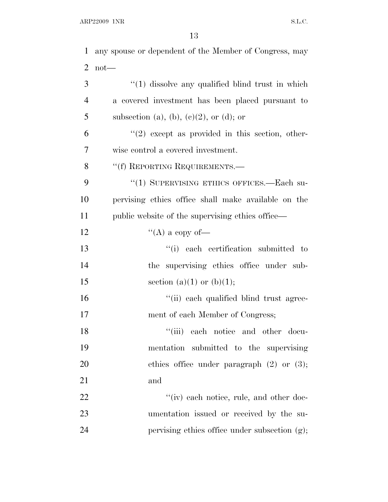| 1              | any spouse or dependent of the Member of Congress, may |
|----------------|--------------------------------------------------------|
| $\overline{2}$ | $not$ —                                                |
| 3              | $\lq(1)$ dissolve any qualified blind trust in which   |
| $\overline{4}$ | a covered investment has been placed pursuant to       |
| 5              | subsection (a), (b), (c)(2), or (d); or                |
| 6              | $\lq(2)$ except as provided in this section, other-    |
| 7              | wise control a covered investment.                     |
| 8              | "(f) REPORTING REQUIREMENTS.—                          |
| 9              | "(1) SUPERVISING ETHICS OFFICES.—Each su-              |
| 10             | pervising ethics office shall make available on the    |
| 11             | public website of the supervising ethics office—       |
| 12             | "(A) a copy of-                                        |
| 13             | "(i) each certification submitted to                   |
| 14             | the supervising ethics office under sub-               |
| 15             | section (a)(1) or (b)(1);                              |
| 16             | "(ii) each qualified blind trust agree-                |
| 17             | ment of each Member of Congress;                       |
| 18             | "(iii) each notice and other docu-                     |
| 19             | mentation submitted to the supervising                 |
| 20             | ethics office under paragraph $(2)$ or $(3)$ ;         |
| 21             | and                                                    |
| 22             | "(iv) each notice, rule, and other doc-                |
| 23             | umentation issued or received by the su-               |
| 24             | pervising ethics office under subsection (g);          |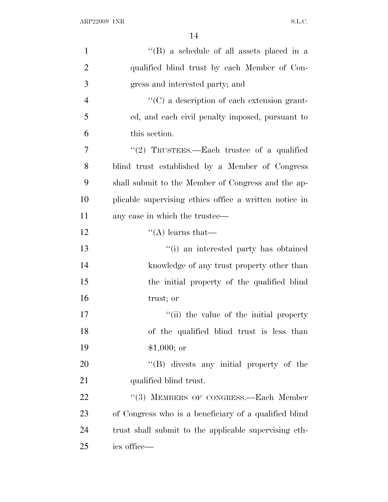| $\mathbf{1}$   | "(B) a schedule of all assets placed in a              |
|----------------|--------------------------------------------------------|
| $\overline{2}$ | qualified blind trust by each Member of Con-           |
| 3              | gress and interested party; and                        |
| $\overline{4}$ | "(C) a description of each extension grant-            |
| 5              | ed, and each civil penalty imposed, pursuant to        |
| 6              | this section.                                          |
| 7              | "(2) TRUSTEES.—Each trustee of a qualified             |
| 8              | blind trust established by a Member of Congress        |
| 9              | shall submit to the Member of Congress and the ap-     |
| 10             | plicable supervising ethics office a written notice in |
| 11             | any case in which the trustee—                         |
| 12             | $\lq\lq$ learns that—                                  |
| 13             | "(i) an interested party has obtained                  |
| 14             | knowledge of any trust property other than             |
| 15             | the initial property of the qualified blind            |
| 16             | trust; or                                              |
| 17             | "(ii) the value of the initial property                |
| 18             | of the qualified blind trust is less than              |
| 19             | $$1,000;$ or                                           |
| 20             | $\lq\lq(B)$ divests any initial property of the        |
| 21             | qualified blind trust.                                 |
| 22             | "(3) MEMBERS OF CONGRESS.—Each Member                  |
| 23             | of Congress who is a beneficiary of a qualified blind  |
| 24             | trust shall submit to the applicable supervising eth-  |
| 25             | ics office-                                            |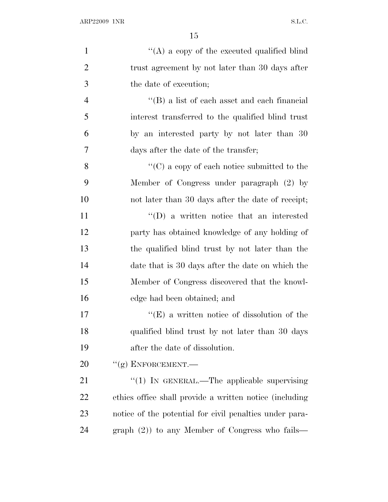| $\mathbf{1}$   | "(A) a copy of the executed qualified blind             |
|----------------|---------------------------------------------------------|
| $\overline{2}$ | trust agreement by not later than 30 days after         |
| 3              | the date of execution;                                  |
| $\overline{4}$ | $\lq\lq$ (B) a list of each asset and each financial    |
| 5              | interest transferred to the qualified blind trust       |
| 6              | by an interested party by not later than 30             |
| 7              | days after the date of the transfer;                    |
| 8              | "(C) a copy of each notice submitted to the             |
| 9              | Member of Congress under paragraph (2) by               |
| 10             | not later than 30 days after the date of receipt;       |
| 11             | $\lq\lq$ (D) a written notice that an interested        |
| 12             | party has obtained knowledge of any holding of          |
| 13             | the qualified blind trust by not later than the         |
| 14             | date that is 30 days after the date on which the        |
| 15             | Member of Congress discovered that the knowl-           |
| 16             | edge had been obtained; and                             |
| 17             | $\lq\lq(E)$ a written notice of dissolution of the      |
| 18             | qualified blind trust by not later than 30 days         |
| 19             | after the date of dissolution.                          |
| 20             | $``(g)$ ENFORCEMENT.—                                   |
| 21             | "(1) IN GENERAL.—The applicable supervising             |
| 22             | ethics office shall provide a written notice (including |
| 23             | notice of the potential for civil penalties under para- |
| 24             | graph $(2)$ ) to any Member of Congress who fails—      |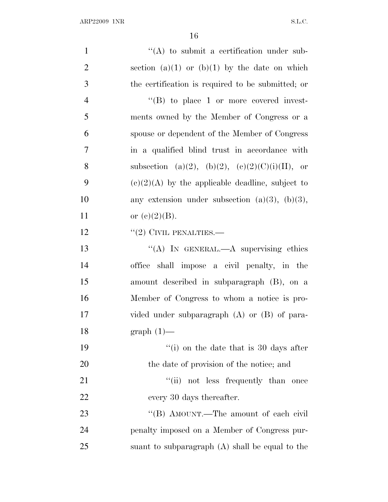| $\mathbf{1}$   | $\lq\lq$ to submit a certification under sub-        |
|----------------|------------------------------------------------------|
| $\overline{2}$ | section $(a)(1)$ or $(b)(1)$ by the date on which    |
| 3              | the certification is required to be submitted; or    |
| $\overline{4}$ | $\lq\lq (B)$ to place 1 or more covered invest-      |
| 5              | ments owned by the Member of Congress or a           |
| 6              | spouse or dependent of the Member of Congress        |
| 7              | in a qualified blind trust in accordance with        |
| 8              | subsection (a)(2), (b)(2), (c)(2)(C)(i)(II), or      |
| 9              | $(c)(2)(A)$ by the applicable deadline, subject to   |
| 10             | any extension under subsection $(a)(3)$ , $(b)(3)$ , |
| 11             | or $(c)(2)(B)$ .                                     |
| 12             | $``(2)$ CIVIL PENALTIES.—                            |
| 13             | "(A) IN GENERAL.— $A$ supervising ethics             |
| 14             | office shall impose a civil penalty, in the          |
| 15             | amount described in subparagraph (B), on a           |
| 16             | Member of Congress to whom a notice is pro-          |
| 17             | vided under subparagraph $(A)$ or $(B)$ of para-     |
| 18             | $graph(1)$ —                                         |
| 19             | $\lq\lq$ (i) on the date that is 30 days after       |
| 20             | the date of provision of the notice; and             |
| 21             | "(ii) not less frequently than once                  |
| 22             | every 30 days thereafter.                            |
| 23             | "(B) AMOUNT.—The amount of each civil                |
| 24             | penalty imposed on a Member of Congress pur-         |
| 25             | suant to subparagraph $(A)$ shall be equal to the    |